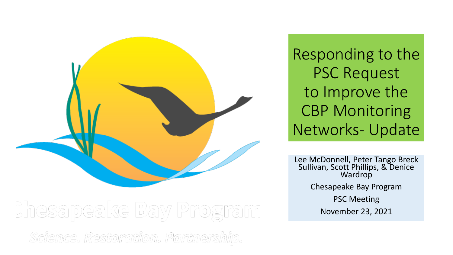

Responding to the PSC Request to Improve the CBP Monitoring Networks- Update

Lee McDonnell, Peter Tango Breck Sullivan, Scott Phillips, & Denice Wardrop Chesapeake Bay Program PSC Meeting November 23, 2021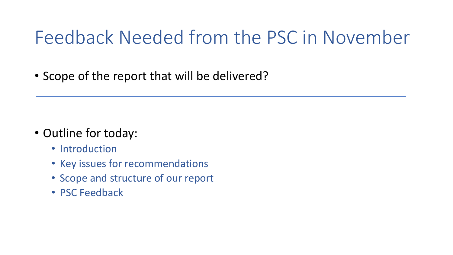### Feedback Needed from the PSC in November

• Scope of the report that will be delivered?

- Outline for today:
	- Introduction
	- Key issues for recommendations
	- Scope and structure of our report
	- PSC Feedback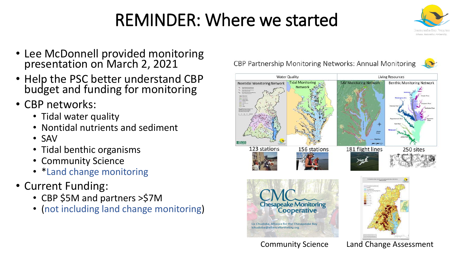### REMINDER: Where we started

- Lee McDonnell provided monitoring presentation on March 2, 2021
- Help the PSC better understand CBP budget and funding for monitoring
- CBP networks:
	- Tidal water quality
	- Nontidal nutrients and sediment
	- SAV
	- Tidal benthic organisms
	- Community Science
	- \*Land change monitoring
- Current Funding:
	- CBP \$5M and partners >\$7M
	- (not including land change monitoring)

### CBP Partnership Monitoring Networks: Annual Monitoring





Community Science Land Change Assessment

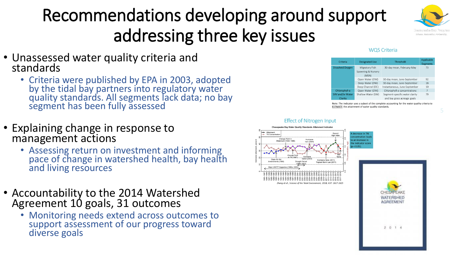## Recommendations developing around support addressing three key issues



- Unassessed water quality criteria and standards
	- Criteria were published by EPA in 2003, adopted by the tidal bay partners into regulatory water quality standards. All segments lack data; no bay segment has been fully assessed
- Explaining change in response to management actions
	- Assessing return on investment and informing pace of change in watershed health, bay health and living resources
- Accountability to the 2014 Watershed Agreement 10 goals, 31 outcomes
	- Monitoring needs extend across outcomes to support assessment of our progress toward diverse goals

#### **WOS Criteria**

| Criteria                | <b>Designated Use</b>                         | Threshold                      | Applicable<br>Segments |
|-------------------------|-----------------------------------------------|--------------------------------|------------------------|
| <b>Dissolved Oxygen</b> | Migratory Fish<br>Spawning & Nursery<br>(MSN) | 30-day mean, February-May      | 73                     |
|                         | Open Water (OW)                               | 30-day mean, June-September    | 92                     |
|                         | Deep Water (DW)                               | 30-day mean, June-September    | 18                     |
|                         | Deep Channel (DC)                             | Instantaneous, June-September  | 10                     |
| Chlorophyll-a           | Open Water (OW)                               | Chlorophyll-a concentrations   | 7                      |
| SAV and/or Water        | Shallow Water (SW)                            | Segment-specific water clarity | 79                     |
| Clarity                 |                                               | and bay grass acreage goals    |                        |

Note: The indicator uses a subset of the complete accounting for the water quality criteria to ESTIMATE the attainment of water quality standards

#### **Effect of Nitrogen Input**

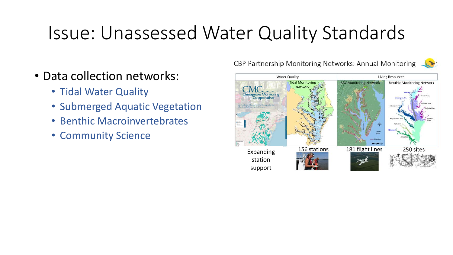## Issue: Unassessed Water Quality Standards

- Data collection networks:
	- Tidal Water Quality
	- Submerged Aquatic Vegetation
	- Benthic Macroinvertebrates
	- Community Science

CBP Partnership Monitoring Networks: Annual Monitoring

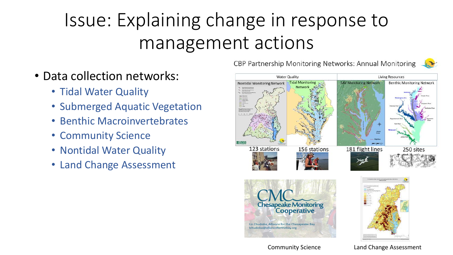# Issue: Explaining change in response to management actions

- Data collection networks:
	- Tidal Water Quality
	- Submerged Aquatic Vegetation
	- Benthic Macroinvertebrates
	- Community Science
	- Nontidal Water Quality
	- Land Change Assessment

CBP Partnership Monitoring Networks: Annual Monitoring



Community Science Land Change Assessment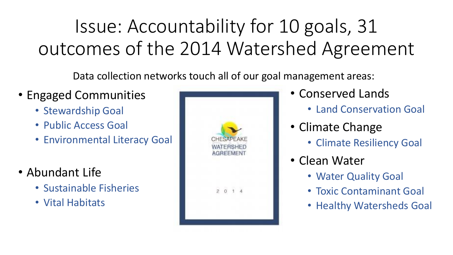# Issue: Accountability for 10 goals, 31 outcomes of the 2014 Watershed Agreement

Data collection networks touch all of our goal management areas:

- Engaged Communities
	- Stewardship Goal
	- Public Access Goal
	- Environmental Literacy Goal
- Abundant Life
	- Sustainable Fisheries
	- Vital Habitats



- Conserved Lands
	- Land Conservation Goal
- Climate Change
	- Climate Resiliency Goal
- Clean Water
	- Water Quality Goal
	- Toxic Contaminant Goal
	- Healthy Watersheds Goal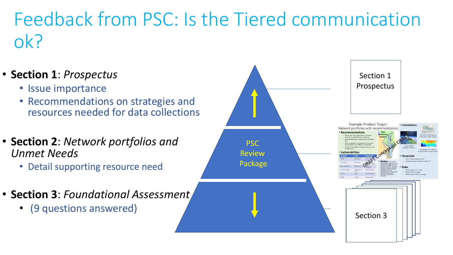## Feedback from PSC: Is the Tiered communication ok?

- **Section 1**: *Prospectus*
	- Issue importance
	- Recommendations on strategies and resources needed for data collections
- **Section 2**: *Network portfolios and Unmet Needs* 
	- Detail supporting resource need
- **Section 3**: *Foundational Assessment*
	- (9 questions answered)